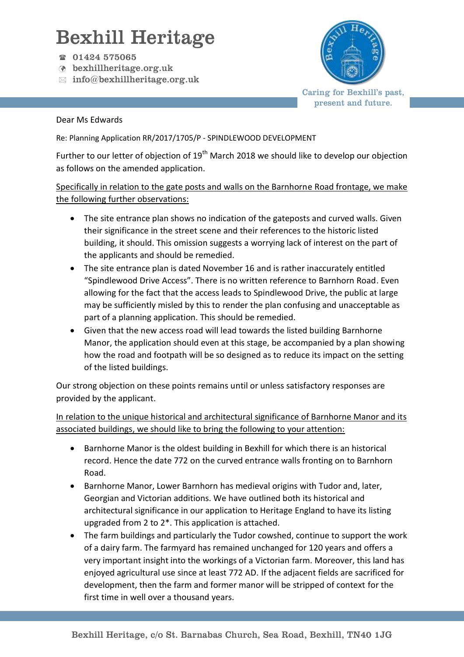## Bexhill Heritage

- 01424 575065
- bexhillheritage.org.uk
- $\boxtimes$  info@bexhillheritage.org.uk



Caring for Bexhill's past, present and future.

## Dear Ms Edwards

Re: Planning Application RR/2017/1705/P - SPINDLEWOOD DEVELOPMENT

Further to our letter of objection of 19<sup>th</sup> March 2018 we should like to develop our objection as follows on the amended application.

## Specifically in relation to the gate posts and walls on the Barnhorne Road frontage, we make the following further observations:

- The site entrance plan shows no indication of the gateposts and curved walls. Given their significance in the street scene and their references to the historic listed building, it should. This omission suggests a worrying lack of interest on the part of the applicants and should be remedied.
- The site entrance plan is dated November 16 and is rather inaccurately entitled "Spindlewood Drive Access". There is no written reference to Barnhorn Road. Even allowing for the fact that the access leads to Spindlewood Drive, the public at large may be sufficiently misled by this to render the plan confusing and unacceptable as part of a planning application. This should be remedied.
- Given that the new access road will lead towards the listed building Barnhorne Manor, the application should even at this stage, be accompanied by a plan showing how the road and footpath will be so designed as to reduce its impact on the setting of the listed buildings.

Our strong objection on these points remains until or unless satisfactory responses are provided by the applicant.

In relation to the unique historical and architectural significance of Barnhorne Manor and its associated buildings, we should like to bring the following to your attention:

- Barnhorne Manor is the oldest building in Bexhill for which there is an historical record. Hence the date 772 on the curved entrance walls fronting on to Barnhorn Road.
- Barnhorne Manor, Lower Barnhorn has medieval origins with Tudor and, later, Georgian and Victorian additions. We have outlined both its historical and architectural significance in our application to Heritage England to have its listing upgraded from 2 to 2\*. This application is attached.
- The farm buildings and particularly the Tudor cowshed, continue to support the work of a dairy farm. The farmyard has remained unchanged for 120 years and offers a very important insight into the workings of a Victorian farm. Moreover, this land has enjoyed agricultural use since at least 772 AD. If the adjacent fields are sacrificed for development, then the farm and former manor will be stripped of context for the first time in well over a thousand years.